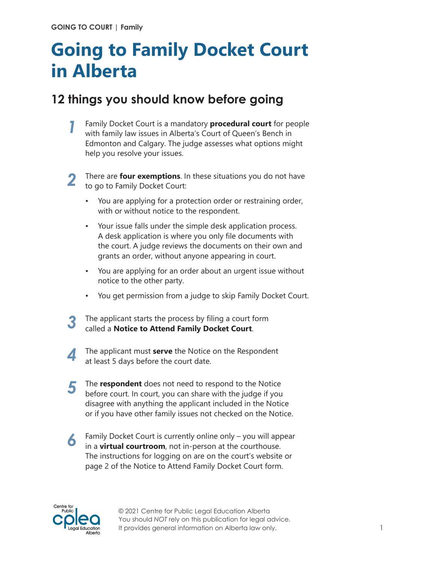## **Going to Family Docket Court in Alberta**

## **12 things you should know before going**

Family Docket Court is a mandatory **procedural court** for people with family law issues in Alberta's Court of Queen's Bench in Edmonton and Calgary. The judge assesses what options might help you resolve your issues. *1*



There are **four exemptions**. In these situations you do not have to go to Family Docket Court:

- You are applying for a protection order or restraining order, with or without notice to the respondent.
- Your issue falls under the simple desk application process. A desk application is where you only file documents with the court. A judge reviews the documents on their own and grants an order, without anyone appearing in court.
- You are applying for an order about an urgent issue without notice to the other party.
- You get permission from a judge to skip Family Docket Court.
- The applicant starts the process by filing a court form *3* called a **Notice to Attend Family Docket Court**.
- The applicant must **serve** the Notice on the Respondent at least 5 days before the court date.
- The **respondent** does not need to respond to the Notice before court. In court, you can share with the judge if you disagree with anything the applicant included in the Notice or if you have other family issues not checked on the Notice. *5*
- Family Docket Court is currently online only you will appear in a **virtual courtroom**, not in-person at the courthouse. The instructions for logging on are on the court's website or page 2 of the Notice to Attend Family Docket Court form. *6*



© 2021 Centre for Public Legal Education Alberta You should *NOT* rely on this publication for legal advice. It provides general information on Alberta law only.